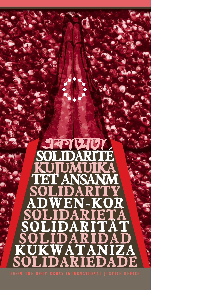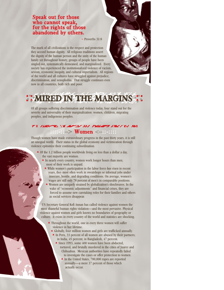#### Speak out for those who cannot speak, for the rights of those abandoned by others.

 $\sim$  Proverbs 31:8

The mark of all civilizations is the respect and protection they accord human dignity. All religious traditions assert the dignity of the human person and the unity of the human family yet throughout history, groups of people have been singled out, systematically demeaned, and marginalized. Every society has experienced the institutionalized violence of racism, sexism, economic inequity, and cultural imperialism. All regions of the world and all cultures have struggled against prejudice, discrimination, and xenophobia. That struggle continues even now in all countries, both rich and poor.

### :: MIRED IN THE MARGINS :: ::

Of all groups suffering discrimination and violence today, four stand out for the severity and universality of their marginalization: women, children, migrating peoples, and indigenous peoples.

#### **ABLACK**  $\varepsilon \rightarrow$  Women  $\lt -$ :

Though women have made extraordinary progress in the past thirty years, it is still an unequal world. Their status in the global economy and victimization through violence epitomize their continuing subordination.

- $*$  Of the 1.2 billion people worldwide living on less than a dollar a day, the vast majority are women.
	- $*$  In nearly every country, women work longer hours than men; most of their work is unpaid.
		- While women's participation in the labor force *has* risen in recent years, they most often work in sweatshops or informal jobs under insecure, hostile, and degrading conditions. On average, women's wages are still only 78 percent of men's in comparable positions.
		- Women are uniquely strained by globalization's shockwaves. In the wake of "economic adjustments" and financial crises, they are forced to assume new caretaking roles for their families and others as social services disappear.

UN Secretary General Kofi Annan has called violence against women the most shameful human rights violation—and the most pervasive. Physical violence against women and girls knows no boundaries of geography or culture. It exists in every country of the world and statistics are shocking.

- Throughout the world, one in every three women will suffer violence in her lifetime.
	- Globally, four million women and girls are trafficked annually.  $*$  In Peru, 33 percent of all women are abused by their partners;
		- in India, 45 percent; in Bangladesh, 47 percent.
			- Since 1993, some 400 women have been abducted, tortured, and brutally murdered in the cities of Juarez and Chihuahua. Mexican authorities have repeatedly failed to investigate the cases or offer protection to women.
				- In the United States, 700,000 rapes are reported annually—a mere 37 percent of those which actually occur.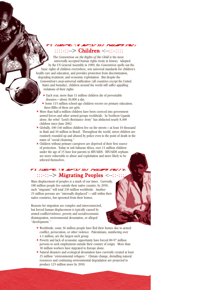## ::::-::–> Children <–::-::::

The *Convention on the Rights of the Child* is the most universally accepted human rights treaty in history. Adopted by the UN General Assembly in 1989, the *Convention* spells out the basic rights of children everywhere, sets universal standards for children's health care and education, and provides protection from discrimination, degrading treatment, and economic exploitation. But despite the

*Convention*'s near-universal ratification (all countries except the United States and Somalia), children around the world still suffer appalling violations of their rights.

- Each year, more than 11 million children die of preventable diseases—about 30,000 a day.
- \* Some 115 million school-age children receive no primary education; three-fifths of these are girls.
- More than half-a-million children have been coerced into government armed forces and other armed groups worldwide. In Northern Uganda alone, the rebel "Lord's Resistance Army" has abducted nearly 8,400 children since June 2002.
- Globally, 100-140 million children live on the streets—at least 10 thousand in Haiti and 10 million in Brazil. Throughout the world, street children are routinely rounded up and abused by police even to the point of death in the name of "social cleansing."
- Children without primary caregivers are deprived of their first source of protection. Today in sub-Saharan Africa, over 11 million children under the age of 15 have lost parents to HIV/AIDS. HIV/AIDS orphans are more vulnerable to abuse and exploitation and more likely to be infected themselves.

#### FX /UEFFRA \Y JEFTLY XV 7WAGED  $:::-:->$  Migrating Peoples  $\le$

Mass displacement of peoples is a mark of our times. Currently, 180 million people live outside their native country; by 2050, such "migrants" will total 230 million worldwide. Another 25 million persons are "internally displaced"—still within their native countries, but uprooted from their homes.

Reasons for migration are complex and interconnected, but forced human displacement is typically caused by armed conflict/violence, poverty and social/economic disintegration, environmental devastation, or alleged "development."

- Worldwide, some 36 million people have fled their homes due to armed conflict, persecution, or other violence. Palestinians, numbering over 4.1 million, are the largest such group.
- Poverty and lack of economic opportunity have forced 80-97 million persons to seek employment outside their country of origin. More than 30 million workers have migrated to Europe alone.
- Natural disasters and ecological devastation have currently created at least 25 million "environmental refugees." Climate change, dwindling natural resources and continuing environmental degradation are projected to produce 125 million more by 2050.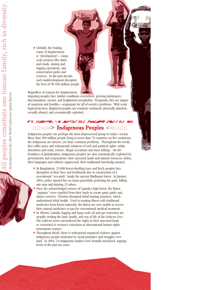Globally, the leading cause of displacement is "development"—largescale projects like dams and roads, mining and logging operations, and conservation parks and reserves. In the past decade, such maldevelopment disrupted the lives of 90-100 million people.

Regardless of reasons for displacement,

migrating peoples face similar conditions everywhere: growing intolerance, discrimination, racism, and heightened xenophobia. Frequently, they are targets of suspicion and hostility—scapegoats for all of society's problems. With scant legal protection, displaced peoples are routinely victimized: physically attacked, sexually abused, and economically exploited.

#### **X AMERYNN YN MARTIN XY FRONING ARNY YN NA** ::::-::–> Indigenous Peoples <–::-::::

Indigenous peoples are perhaps the most dispossessed group in today's society. More than 300 million people living in more than 70 countries on five continents, the indigenous are diverse, yet share common problems. Throughout the world, they suffer grave and widespread violations of civil and political rights: unfair detentions and trials, torture, illegal executions and mass killings. On the frontlines of globalization, indigenous peoples are also systematically exploited by governments and corporations: their ancestral lands and natural resources stolen, their languages and cultures suppressed, their traditional knowledge pirated.

- \* In Bangladesh, 25,000 forest-dwelling Garo and Koch peoples face disruption of their lives and livelihoods due to construction of a recreational "eco-park" inside the ancient Madhupur forest. In January 2004, police opened fire on Garos peacefully protesting the park, killing one man and injuring 25 others.
- Once the acknowledged owners of Uganda's high forest, the Batwa "pygmies" were expelled from their lands to create game parks and nature reserves. Eviction disrupted tribal hunting practices, which undermined tribal health. Used to treating illness with traditional medicines from forest materials, the Batwa are now unable to access their natural medicines or pay for conventional medical treatment.
- In Alberta, Canada, logging and large-scale oil and gas extraction are steadily eroding the land, health, and way of life of the Lubicon Cree. The Lubicon never surrendered the rights to their ancestral lands or consented to resource extraction as international human rights instruments require.
- Throughout Brazil, there is widespread organized violence against indigenous people motivated by racial prejudice and struggles over land. In 2003, 24 indigenous leaders were brutally murdered, topping levels of the past ten years.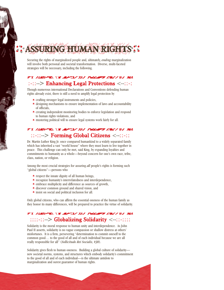Securing the rights of marginalized people and, ultimately, *ending* marginalization will involve both personal and societal transformation. Diverse, multi-faceted strategies will be necessary, including the following.

ASSURING HUMAN RIGHT

#### **X AMERYKA YN JEARLY XIA TWYGYR ARY YN NA** :-::–> Enhancing Legal Protections <–::-:

Though numerous international Declarations and Conventions defending human rights already exist, there is still a need to amplify legal protection by

 $*$  crafting stronger legal instruments and policies,

:"<br>"

- designing mechanisms to ensure implementation of laws and accountability of officials,
- creating independent monitoring bodies to enforce legislation and respond to human rights violations, and
- mustering political will to ensure legal systems work fairly for all.

#### **FX AMERICAN VELAPTLY XV FROMPT ABOUT NA** ::-::–> Forming Global Citizens <–::-::

Dr. Martin Luther King Jr. once compared humankind to a widely separated family which has inherited a vast "world house" where they must learn to live together in peace. This challenge can only be met, said King, by expanding loyalties and commitments to humanity as a whole—beyond concern for one's own race, tribe, class, nation, or religion.

Among the most crucial strategies for assuring *all* people's rights is forming such "global citizens"—persons who

- $*$  respect the innate dignity of all human beings,
- recognize humanity's interrelatedness and interdependence,
- embrace multiplicity and difference as sources of growth,
- \* discover common ground and shared vision, and
- $*$  insist on social and political inclusion for all.

Only global citizens, who can affirm the essential oneness of the human family as they honor its many differences, will be prepared to practice the virtue of solidarity.

#### FX /UEFPR \Y.APTI/XV /WEAPT/RE//YV NA ::::-::–> Globalizing Solidarity <–::-::::

Solidarity is the moral response to human unity and interdependence. As John Paul II asserts, solidarity is no vague compassion or shallow distress at others' misfortunes. It is a firm, persevering "determination to commit oneself to the common good… to the good of all and of each individual because we are all really responsible for all" (*Sollicitudo Rei Socialis, #38*).

Solidarity gives flesh to human oneness. Building a global culture of solidarity new societal norms, systems, and structures which embody solidarity's commitment to the good of all and of each individual—is the ultimate antidote to marginalization and surest guarantor of human rights.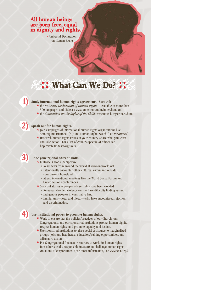#### All human beings are born free, equal in dignity and rights.

~ Universal Declaration on Human Rights

# : What Can We Do? ::

## **Study international human rights agreements.** Start with

- the *Universal Declaration of Human Rights*—available in more than 300 languages and dialects: www.unhchr.ch/udhr/index.htm, and
- the *Convention on the Rights of the Child*: www.unicef.org/crc/crc.htm.

#### **Speak out for human rights.**

- Join campaigns of international human rights organizations like Amnesty International (AI) and Human Rights Watch (see *Resources*).
- Research human rights issues in your country. Share what you learn and take action. For a list of country-specific AI offices see http://web.amnesty.org/links.

#### **Hone your "global citizen" skills.**

- Cultivate a global perspective:
	- <sup>o</sup> Read news from around the world at www.oneworld.net.
	- <sup>o</sup> Intentionally encounter other cultures, within and outside your current homeland.
	- <sup>o</sup> Attend international meetings like the World Social Forum and United Nations conferences.
- Seek out stories of people whose rights have been violated:
	- <sup>o</sup> Refugees who fled violence only to have difficulty finding asylum. <sup>o</sup> Indigenous peoples in your native land.
	- <sup>o</sup> Immigrants—legal and illegal—who have encountered rejection and discrimination.



2)

3)

## Use institutional power to promote human rights.

- Work to ensure that the policies/practices of our Church, our Congregations, and our sponsored institutions protect human dignity, respect human rights, and promote equality and justice.
- Use sponsored institutions to give special assistance to marginalized groups: jobs and healthcare, education/training opportunities, and affirmative action.
- Put Congregational financial resources to work for human rights. Join other socially responsible investors to challenge human rights violations of corporations. (For more information, see www.iccr.org.)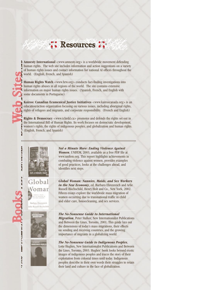# : Resources ::

Amnesty International <www.amnesty.org> is a worldwide movement defending human rights. The web site includes information and action suggestions on a variety of human rights issues and contact information for national AI offices throughout the world. (English, French, and Spanish)

**Human Rights Watch** <www.hrw.org> conducts fact-finding investigations into human rights abuses in all regions of the world. The site contains extensive information on major human rights issues. (Spanish, French, and English with some documents in Portuguese)

Web Sites

Books

**CARACTES** 

**「地震のことに、その後のことに、** 

医腹股沟

obal

omar

Eh:

**Kairos: Canadian Ecumenical Justice Initiatives** <www.kairoscanada.org> is an education/action organization focusing on various issues, including aboriginal rights, rights of refugees and migrants, and corporate responsibility. (French and English)

**Rights & Democracy** <www.ichrdd.ca> promotes and defends the rights set out in the International Bill of Human Rights. Its work focuses on democratic development, women's rights, the rights of indigenous peoples, and globalization and human rights. (English, French, and Spanish)

> *Not a Minute More: Ending Violence Against Women*, UNIFEM, 2003, available as a free PDF file at www.unifem.org. This report highlights achievements in combating violence against women, provides examples of good practices, looks at the challenges ahead, and identifies next steps.

*Global Woman: Nannies, Maids, and Sex Workers in the New Economy*, ed. Barbara Ehrenreich and Arlie Russell Hochschild, Henry Holt and Co., New York, 2002. Fifteen essays explore the worldwide mass migration of women occurring due to transnational traffic in child and elder care, housecleaning, and sex services.

*The No-Nonsense Guide to International Migration*, Peter Stalker, New Internationalist Publications and Between the Lines, Toronto, 2001. This guide lays out the dimensions of today's mass migrations, their effects on sending and receiving countries, and the growing importance of migrants in a globalizing world.

*The No-Nonsense Guide to Indigenous Peoples*, Lotte Hughes, New Internationalist Publications and Between the Lines, Toronto, 2003. Hughes' book looks beyond exotic images of indigenous peoples and traces the story of their exploitation from colonial times until today. Indigenous peoples describe in their own words their struggles to retain their land and culture in the face of globalization.